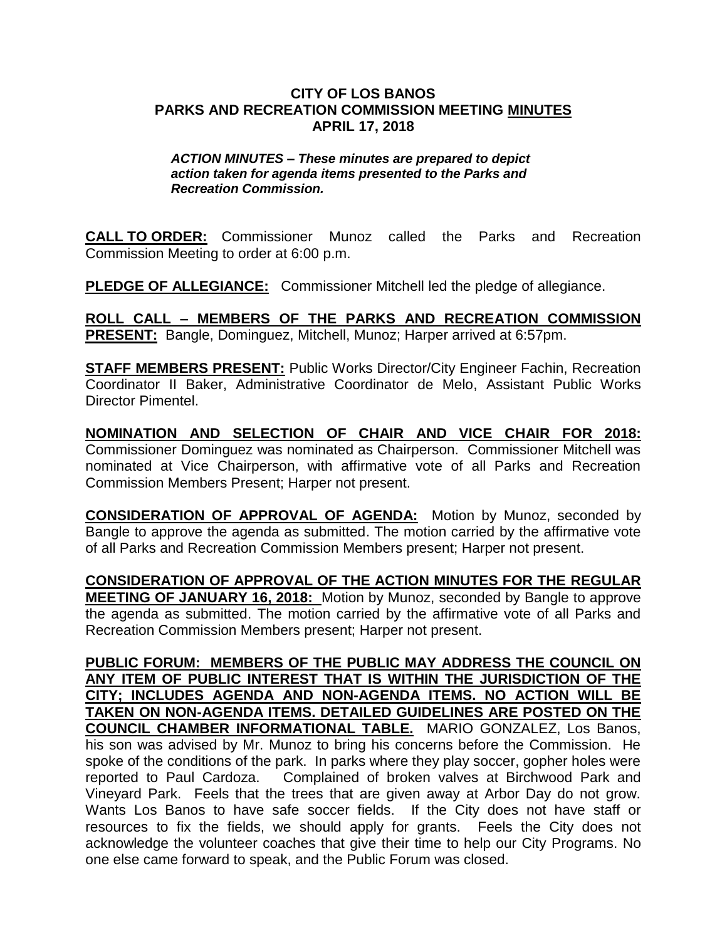## **CITY OF LOS BANOS PARKS AND RECREATION COMMISSION MEETING MINUTES APRIL 17, 2018**

## *ACTION MINUTES – These minutes are prepared to depict action taken for agenda items presented to the Parks and Recreation Commission.*

**CALL TO ORDER:** Commissioner Munoz called the Parks and Recreation Commission Meeting to order at 6:00 p.m.

**PLEDGE OF ALLEGIANCE:** Commissioner Mitchell led the pledge of allegiance.

**ROLL CALL – MEMBERS OF THE PARKS AND RECREATION COMMISSION PRESENT:** Bangle, Dominguez, Mitchell, Munoz; Harper arrived at 6:57pm.

**STAFF MEMBERS PRESENT:** Public Works Director/City Engineer Fachin, Recreation Coordinator II Baker, Administrative Coordinator de Melo, Assistant Public Works Director Pimentel.

**NOMINATION AND SELECTION OF CHAIR AND VICE CHAIR FOR 2018:**  Commissioner Dominguez was nominated as Chairperson. Commissioner Mitchell was nominated at Vice Chairperson, with affirmative vote of all Parks and Recreation Commission Members Present; Harper not present.

**CONSIDERATION OF APPROVAL OF AGENDA:** Motion by Munoz, seconded by Bangle to approve the agenda as submitted. The motion carried by the affirmative vote of all Parks and Recreation Commission Members present; Harper not present.

**CONSIDERATION OF APPROVAL OF THE ACTION MINUTES FOR THE REGULAR MEETING OF JANUARY 16, 2018:** Motion by Munoz, seconded by Bangle to approve the agenda as submitted. The motion carried by the affirmative vote of all Parks and Recreation Commission Members present; Harper not present.

**PUBLIC FORUM: MEMBERS OF THE PUBLIC MAY ADDRESS THE COUNCIL ON ANY ITEM OF PUBLIC INTEREST THAT IS WITHIN THE JURISDICTION OF THE CITY; INCLUDES AGENDA AND NON-AGENDA ITEMS. NO ACTION WILL BE TAKEN ON NON-AGENDA ITEMS. DETAILED GUIDELINES ARE POSTED ON THE COUNCIL CHAMBER INFORMATIONAL TABLE.** MARIO GONZALEZ, Los Banos, his son was advised by Mr. Munoz to bring his concerns before the Commission. He spoke of the conditions of the park. In parks where they play soccer, gopher holes were reported to Paul Cardoza. Complained of broken valves at Birchwood Park and Vineyard Park. Feels that the trees that are given away at Arbor Day do not grow. Wants Los Banos to have safe soccer fields. If the City does not have staff or resources to fix the fields, we should apply for grants. Feels the City does not acknowledge the volunteer coaches that give their time to help our City Programs. No one else came forward to speak, and the Public Forum was closed.